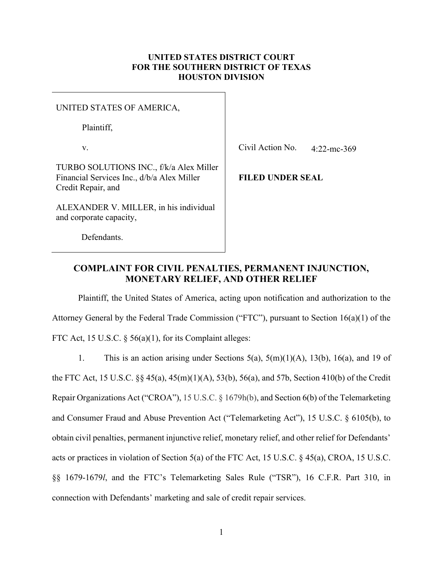## **UNITED STATES DISTRICT COURT FOR THE SOUTHERN DISTRICT OF TEXAS HOUSTON DIVISION**

#### UNITED STATES OF AMERICA,

Plaintiff,

v.

TURBO SOLUTIONS INC., f/k/a Alex Miller Financial Services Inc., d/b/a Alex Miller Credit Repair, and

ALEXANDER V. MILLER, in his individual and corporate capacity,

Civil Action No. 4:22-mc-369

**FILED UNDER SEAL**

## Defendants.

# **COMPLAINT FOR CIVIL PENALTIES, PERMANENT INJUNCTION, MONETARY RELIEF, AND OTHER RELIEF**

Plaintiff, the United States of America, acting upon notification and authorization to the Attorney General by the Federal Trade Commission ("FTC"), pursuant to Section 16(a)(1) of the FTC Act, 15 U.S.C. § 56(a)(1), for its Complaint alleges:

1. This is an action arising under Sections 5(a), 5(m)(1)(A), 13(b), 16(a), and 19 of the FTC Act, 15 U.S.C. §§ 45(a), 45(m)(1)(A), 53(b), 56(a), and 57b, Section 410(b) of the Credit Repair Organizations Act ("CROA"), 15 U.S.C. § 1679h(b), and Section 6(b) of the Telemarketing and Consumer Fraud and Abuse Prevention Act ("Telemarketing Act"), 15 U.S.C. § 6105(b), to obtain civil penalties, permanent injunctive relief, monetary relief, and other relief for Defendants' acts or practices in violation of Section 5(a) of the FTC Act, 15 U.S.C. § 45(a), CROA, 15 U.S.C. §§ 1679-1679*l*, and the FTC's Telemarketing Sales Rule ("TSR"), 16 C.F.R. Part 310, in connection with Defendants' marketing and sale of credit repair services.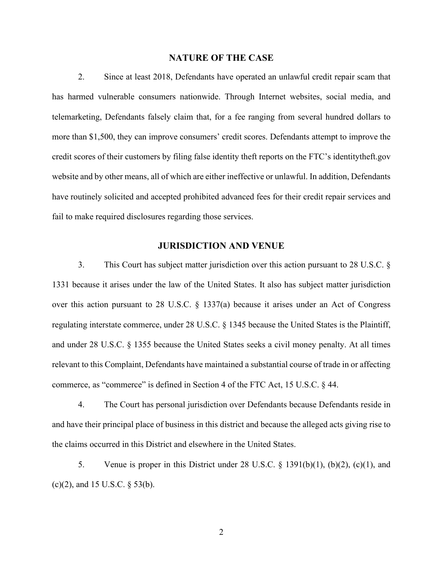### **NATURE OF THE CASE**

2. Since at least 2018, Defendants have operated an unlawful credit repair scam that has harmed vulnerable consumers nationwide. Through Internet websites, social media, and telemarketing, Defendants falsely claim that, for a fee ranging from several hundred dollars to more than \$1,500, they can improve consumers' credit scores. Defendants attempt to improve the credit scores of their customers by filing false identity theft reports on the FTC's identitytheft.gov website and by other means, all of which are either ineffective or unlawful. In addition, Defendants have routinely solicited and accepted prohibited advanced fees for their credit repair services and fail to make required disclosures regarding those services.

## **JURISDICTION AND VENUE**

3. This Court has subject matter jurisdiction over this action pursuant to 28 U.S.C. § 1331 because it arises under the law of the United States. It also has subject matter jurisdiction over this action pursuant to 28 U.S.C. § 1337(a) because it arises under an Act of Congress regulating interstate commerce, under 28 U.S.C. § 1345 because the United States is the Plaintiff, and under 28 U.S.C. § 1355 because the United States seeks a civil money penalty. At all times relevant to this Complaint, Defendants have maintained a substantial course of trade in or affecting commerce, as "commerce" is defined in Section 4 of the FTC Act, 15 U.S.C. § 44.

4. The Court has personal jurisdiction over Defendants because Defendants reside in and have their principal place of business in this district and because the alleged acts giving rise to the claims occurred in this District and elsewhere in the United States.

5. Venue is proper in this District under 28 U.S.C. § 1391(b)(1), (b)(2), (c)(1), and (c)(2), and 15 U.S.C. § 53(b).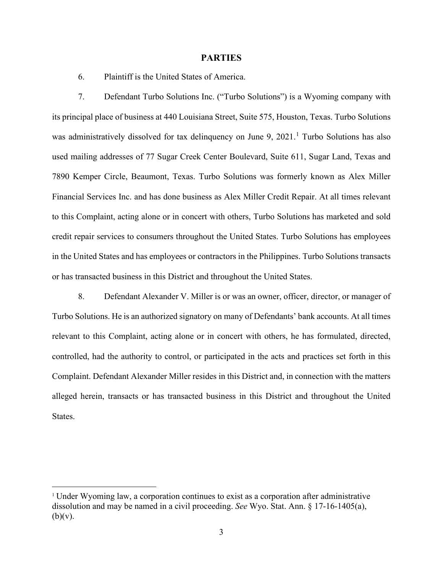#### **PARTIES**

6. Plaintiff is the United States of America.

7. Defendant Turbo Solutions Inc. ("Turbo Solutions") is a Wyoming company with its principal place of business at 440 Louisiana Street, Suite 575, Houston, Texas. Turbo Solutions was administratively dissolved for tax delinquency on June 9, 202[1](#page-2-0).<sup>1</sup> Turbo Solutions has also used mailing addresses of 77 Sugar Creek Center Boulevard, Suite 611, Sugar Land, Texas and 7890 Kemper Circle, Beaumont, Texas. Turbo Solutions was formerly known as Alex Miller Financial Services Inc. and has done business as Alex Miller Credit Repair. At all times relevant to this Complaint, acting alone or in concert with others, Turbo Solutions has marketed and sold credit repair services to consumers throughout the United States. Turbo Solutions has employees in the United States and has employees or contractors in the Philippines. Turbo Solutions transacts or has transacted business in this District and throughout the United States.

8. Defendant Alexander V. Miller is or was an owner, officer, director, or manager of Turbo Solutions. He is an authorized signatory on many of Defendants' bank accounts. At all times relevant to this Complaint, acting alone or in concert with others, he has formulated, directed, controlled, had the authority to control, or participated in the acts and practices set forth in this Complaint. Defendant Alexander Miller resides in this District and, in connection with the matters alleged herein, transacts or has transacted business in this District and throughout the United States.

<span id="page-2-0"></span><sup>1</sup> Under Wyoming law, a corporation continues to exist as a corporation after administrative dissolution and may be named in a civil proceeding. *See* Wyo. Stat. Ann. § 17-16-1405(a),  $(b)(v)$ .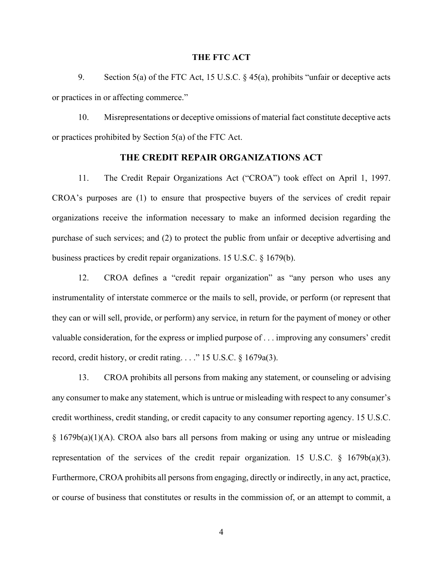#### **THE FTC ACT**

9. Section 5(a) of the FTC Act, 15 U.S.C. § 45(a), prohibits "unfair or deceptive acts or practices in or affecting commerce."

10. Misrepresentations or deceptive omissions of material fact constitute deceptive acts or practices prohibited by Section 5(a) of the FTC Act.

### **THE CREDIT REPAIR ORGANIZATIONS ACT**

11. The Credit Repair Organizations Act ("CROA") took effect on April 1, 1997. CROA's purposes are (1) to ensure that prospective buyers of the services of credit repair organizations receive the information necessary to make an informed decision regarding the purchase of such services; and (2) to protect the public from unfair or deceptive advertising and business practices by credit repair organizations. 15 U.S.C. § 1679(b).

12. CROA defines a "credit repair organization" as "any person who uses any instrumentality of interstate commerce or the mails to sell, provide, or perform (or represent that they can or will sell, provide, or perform) any service, in return for the payment of money or other valuable consideration, for the express or implied purpose of . . . improving any consumers' credit record, credit history, or credit rating. . . ." 15 U.S.C. § 1679a(3).

13. CROA prohibits all persons from making any statement, or counseling or advising any consumer to make any statement, which is untrue or misleading with respect to any consumer's credit worthiness, credit standing, or credit capacity to any consumer reporting agency. 15 U.S.C. § 1679b(a)(1)(A). CROA also bars all persons from making or using any untrue or misleading representation of the services of the credit repair organization. 15 U.S.C. § 1679b(a)(3). Furthermore, CROA prohibits all persons from engaging, directly or indirectly, in any act, practice, or course of business that constitutes or results in the commission of, or an attempt to commit, a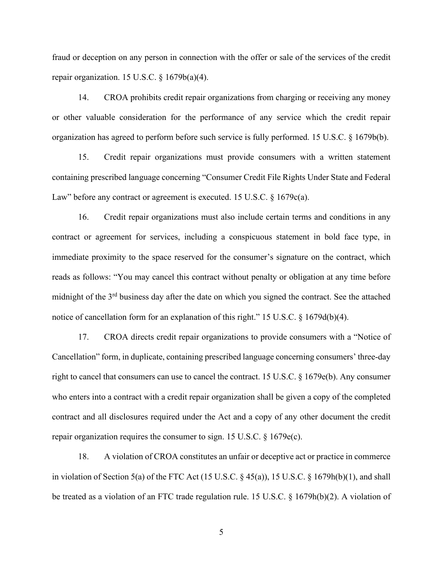fraud or deception on any person in connection with the offer or sale of the services of the credit repair organization. 15 U.S.C. § 1679b(a)(4).

14. CROA prohibits credit repair organizations from charging or receiving any money or other valuable consideration for the performance of any service which the credit repair organization has agreed to perform before such service is fully performed. 15 U.S.C. § 1679b(b).

15. Credit repair organizations must provide consumers with a written statement containing prescribed language concerning "Consumer Credit File Rights Under State and Federal Law" before any contract or agreement is executed. 15 U.S.C. § 1679c(a).

16. Credit repair organizations must also include certain terms and conditions in any contract or agreement for services, including a conspicuous statement in bold face type, in immediate proximity to the space reserved for the consumer's signature on the contract, which reads as follows: "You may cancel this contract without penalty or obligation at any time before midnight of the 3rd business day after the date on which you signed the contract. See the attached notice of cancellation form for an explanation of this right." 15 U.S.C. § 1679d(b)(4).

17. CROA directs credit repair organizations to provide consumers with a "Notice of Cancellation" form, in duplicate, containing prescribed language concerning consumers' three-day right to cancel that consumers can use to cancel the contract. 15 U.S.C. § 1679e(b). Any consumer who enters into a contract with a credit repair organization shall be given a copy of the completed contract and all disclosures required under the Act and a copy of any other document the credit repair organization requires the consumer to sign. 15 U.S.C. § 1679e(c).

18. A violation of CROA constitutes an unfair or deceptive act or practice in commerce in violation of Section 5(a) of the FTC Act (15 U.S.C. § 45(a)), 15 U.S.C. § 1679h(b)(1), and shall be treated as a violation of an FTC trade regulation rule. 15 U.S.C. § 1679h(b)(2). A violation of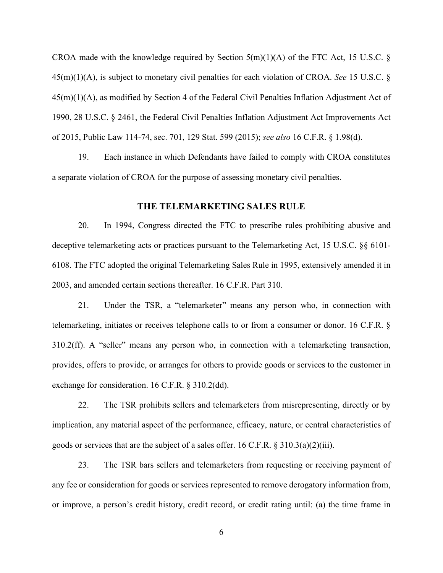CROA made with the knowledge required by Section  $5(m)(1)(A)$  of the FTC Act, 15 U.S.C. § 45(m)(1)(A), is subject to monetary civil penalties for each violation of CROA. *See* 15 U.S.C. § 45(m)(1)(A), as modified by Section 4 of the Federal Civil Penalties Inflation Adjustment Act of 1990, 28 U.S.C. § 2461, the Federal Civil Penalties Inflation Adjustment Act Improvements Act of 2015, Public Law 114-74, sec. 701, 129 Stat. 599 (2015); *see also* 16 C.F.R. § 1.98(d).

19. Each instance in which Defendants have failed to comply with CROA constitutes a separate violation of CROA for the purpose of assessing monetary civil penalties.

### **THE TELEMARKETING SALES RULE**

20. In 1994, Congress directed the FTC to prescribe rules prohibiting abusive and deceptive telemarketing acts or practices pursuant to the Telemarketing Act, 15 U.S.C. §§ 6101- 6108. The FTC adopted the original Telemarketing Sales Rule in 1995, extensively amended it in 2003, and amended certain sections thereafter. 16 C.F.R. Part 310.

21. Under the TSR, a "telemarketer" means any person who, in connection with telemarketing, initiates or receives telephone calls to or from a consumer or donor. 16 C.F.R. § 310.2(ff). A "seller" means any person who, in connection with a telemarketing transaction, provides, offers to provide, or arranges for others to provide goods or services to the customer in exchange for consideration. 16 C.F.R. § 310.2(dd).

22. The TSR prohibits sellers and telemarketers from misrepresenting, directly or by implication, any material aspect of the performance, efficacy, nature, or central characteristics of goods or services that are the subject of a sales offer. 16 C.F.R.  $\S 310.3(a)(2)(iii)$ .

23. The TSR bars sellers and telemarketers from requesting or receiving payment of any fee or consideration for goods or services represented to remove derogatory information from, or improve, a person's credit history, credit record, or credit rating until: (a) the time frame in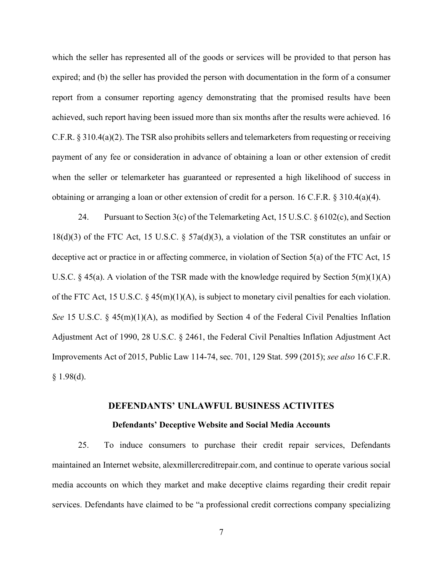which the seller has represented all of the goods or services will be provided to that person has expired; and (b) the seller has provided the person with documentation in the form of a consumer report from a consumer reporting agency demonstrating that the promised results have been achieved, such report having been issued more than six months after the results were achieved. 16 C.F.R. § 310.4(a)(2). The TSR also prohibits sellers and telemarketers from requesting or receiving payment of any fee or consideration in advance of obtaining a loan or other extension of credit when the seller or telemarketer has guaranteed or represented a high likelihood of success in obtaining or arranging a loan or other extension of credit for a person. 16 C.F.R. § 310.4(a)(4).

24. Pursuant to Section 3(c) of the Telemarketing Act, 15 U.S.C. § 6102(c), and Section 18(d)(3) of the FTC Act, 15 U.S.C. § 57a(d)(3), a violation of the TSR constitutes an unfair or deceptive act or practice in or affecting commerce, in violation of Section 5(a) of the FTC Act, 15 U.S.C. § 45(a). A violation of the TSR made with the knowledge required by Section  $5(m)(1)(A)$ of the FTC Act, 15 U.S.C. § 45(m)(1)(A), is subject to monetary civil penalties for each violation. *See* 15 U.S.C. § 45(m)(1)(A), as modified by Section 4 of the Federal Civil Penalties Inflation Adjustment Act of 1990, 28 U.S.C. § 2461, the Federal Civil Penalties Inflation Adjustment Act Improvements Act of 2015, Public Law 114-74, sec. 701, 129 Stat. 599 (2015); *see also* 16 C.F.R.  $§$  1.98(d).

#### **DEFENDANTS' UNLAWFUL BUSINESS ACTIVITES**

#### **Defendants' Deceptive Website and Social Media Accounts**

25. To induce consumers to purchase their credit repair services, Defendants maintained an Internet website, alexmillercreditrepair.com, and continue to operate various social media accounts on which they market and make deceptive claims regarding their credit repair services. Defendants have claimed to be "a professional credit corrections company specializing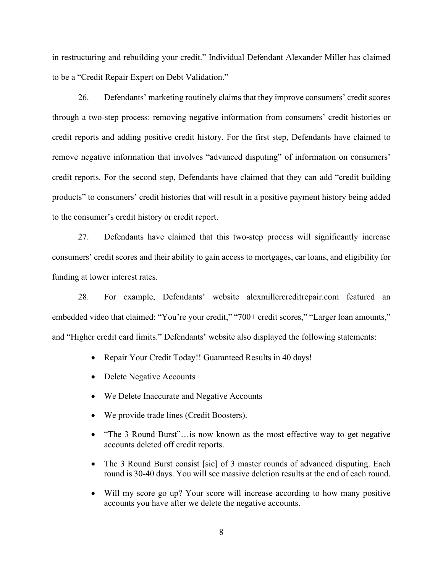in restructuring and rebuilding your credit." Individual Defendant Alexander Miller has claimed to be a "Credit Repair Expert on Debt Validation."

26. Defendants' marketing routinely claims that they improve consumers' credit scores through a two-step process: removing negative information from consumers' credit histories or credit reports and adding positive credit history. For the first step, Defendants have claimed to remove negative information that involves "advanced disputing" of information on consumers' credit reports. For the second step, Defendants have claimed that they can add "credit building products" to consumers' credit histories that will result in a positive payment history being added to the consumer's credit history or credit report.

27. Defendants have claimed that this two-step process will significantly increase consumers' credit scores and their ability to gain access to mortgages, car loans, and eligibility for funding at lower interest rates.

28. For example, Defendants' website alexmillercreditrepair.com featured an embedded video that claimed: "You're your credit," "700+ credit scores," "Larger loan amounts," and "Higher credit card limits." Defendants' website also displayed the following statements:

- Repair Your Credit Today!! Guaranteed Results in 40 days!
- Delete Negative Accounts
- We Delete Inaccurate and Negative Accounts
- We provide trade lines (Credit Boosters).
- "The 3 Round Burst"... is now known as the most effective way to get negative accounts deleted off credit reports.
- The 3 Round Burst consist [sic] of 3 master rounds of advanced disputing. Each round is 30-40 days. You will see massive deletion results at the end of each round.
- Will my score go up? Your score will increase according to how many positive accounts you have after we delete the negative accounts.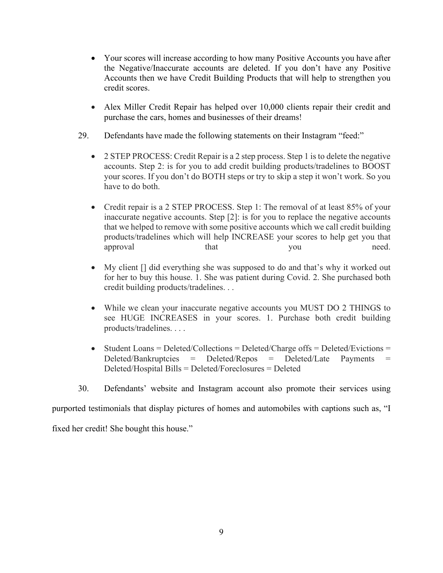- Your scores will increase according to how many Positive Accounts you have after the Negative/Inaccurate accounts are deleted. If you don't have any Positive Accounts then we have Credit Building Products that will help to strengthen you credit scores.
- Alex Miller Credit Repair has helped over 10,000 clients repair their credit and purchase the cars, homes and businesses of their dreams!
- 29. Defendants have made the following statements on their Instagram "feed:"
	- 2 STEP PROCESS: Credit Repair is a 2 step process. Step 1 is to delete the negative accounts. Step 2: is for you to add credit building products/tradelines to BOOST your scores. If you don't do BOTH steps or try to skip a step it won't work. So you have to do both.
	- Credit repair is a 2 STEP PROCESS. Step 1: The removal of at least 85% of your inaccurate negative accounts. Step [2]: is for you to replace the negative accounts that we helped to remove with some positive accounts which we call credit building products/tradelines which will help INCREASE your scores to help get you that approval that that you need.
	- My client [] did everything she was supposed to do and that's why it worked out for her to buy this house. 1. She was patient during Covid. 2. She purchased both credit building products/tradelines. . .
	- While we clean your inaccurate negative accounts you MUST DO 2 THINGS to see HUGE INCREASES in your scores. 1. Purchase both credit building products/tradelines. . . .
	- Student Loans = Deleted/Collections = Deleted/Charge offs = Deleted/Evictions =  $Deleted/Bankruptcies = Deleted/Repos = Deleted/Late$  Payments Deleted/Hospital Bills = Deleted/Foreclosures = Deleted
- 30. Defendants' website and Instagram account also promote their services using

purported testimonials that display pictures of homes and automobiles with captions such as, "I

fixed her credit! She bought this house."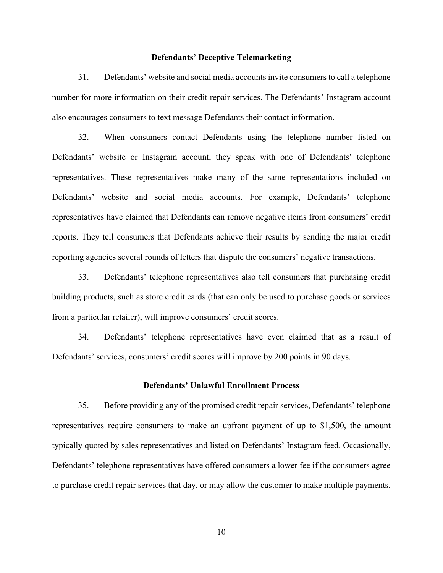#### **Defendants' Deceptive Telemarketing**

31. Defendants' website and social media accounts invite consumers to call a telephone number for more information on their credit repair services. The Defendants' Instagram account also encourages consumers to text message Defendants their contact information.

32. When consumers contact Defendants using the telephone number listed on Defendants' website or Instagram account, they speak with one of Defendants' telephone representatives. These representatives make many of the same representations included on Defendants' website and social media accounts. For example, Defendants' telephone representatives have claimed that Defendants can remove negative items from consumers' credit reports. They tell consumers that Defendants achieve their results by sending the major credit reporting agencies several rounds of letters that dispute the consumers' negative transactions.

33. Defendants' telephone representatives also tell consumers that purchasing credit building products, such as store credit cards (that can only be used to purchase goods or services from a particular retailer), will improve consumers' credit scores.

34. Defendants' telephone representatives have even claimed that as a result of Defendants' services, consumers' credit scores will improve by 200 points in 90 days.

#### **Defendants' Unlawful Enrollment Process**

35. Before providing any of the promised credit repair services, Defendants' telephone representatives require consumers to make an upfront payment of up to \$1,500, the amount typically quoted by sales representatives and listed on Defendants' Instagram feed. Occasionally, Defendants' telephone representatives have offered consumers a lower fee if the consumers agree to purchase credit repair services that day, or may allow the customer to make multiple payments.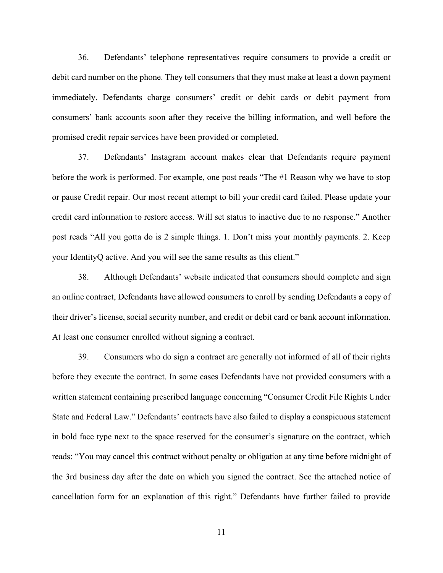36. Defendants' telephone representatives require consumers to provide a credit or debit card number on the phone. They tell consumers that they must make at least a down payment immediately. Defendants charge consumers' credit or debit cards or debit payment from consumers' bank accounts soon after they receive the billing information, and well before the promised credit repair services have been provided or completed.

37. Defendants' Instagram account makes clear that Defendants require payment before the work is performed. For example, one post reads "The #1 Reason why we have to stop or pause Credit repair. Our most recent attempt to bill your credit card failed. Please update your credit card information to restore access. Will set status to inactive due to no response." Another post reads "All you gotta do is 2 simple things. 1. Don't miss your monthly payments. 2. Keep your IdentityQ active. And you will see the same results as this client."

38. Although Defendants' website indicated that consumers should complete and sign an online contract, Defendants have allowed consumers to enroll by sending Defendants a copy of their driver's license, social security number, and credit or debit card or bank account information. At least one consumer enrolled without signing a contract.

39. Consumers who do sign a contract are generally not informed of all of their rights before they execute the contract. In some cases Defendants have not provided consumers with a written statement containing prescribed language concerning "Consumer Credit File Rights Under State and Federal Law." Defendants' contracts have also failed to display a conspicuous statement in bold face type next to the space reserved for the consumer's signature on the contract, which reads: "You may cancel this contract without penalty or obligation at any time before midnight of the 3rd business day after the date on which you signed the contract. See the attached notice of cancellation form for an explanation of this right." Defendants have further failed to provide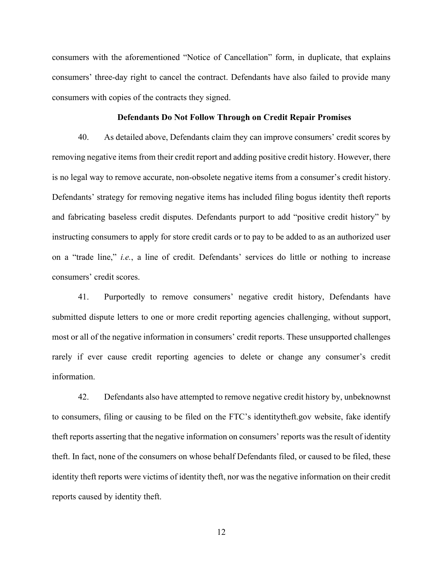consumers with the aforementioned "Notice of Cancellation" form, in duplicate, that explains consumers' three-day right to cancel the contract. Defendants have also failed to provide many consumers with copies of the contracts they signed.

#### **Defendants Do Not Follow Through on Credit Repair Promises**

40. As detailed above, Defendants claim they can improve consumers' credit scores by removing negative items from their credit report and adding positive credit history. However, there is no legal way to remove accurate, non-obsolete negative items from a consumer's credit history. Defendants' strategy for removing negative items has included filing bogus identity theft reports and fabricating baseless credit disputes. Defendants purport to add "positive credit history" by instructing consumers to apply for store credit cards or to pay to be added to as an authorized user on a "trade line," *i.e.*, a line of credit. Defendants' services do little or nothing to increase consumers' credit scores.

41. Purportedly to remove consumers' negative credit history, Defendants have submitted dispute letters to one or more credit reporting agencies challenging, without support, most or all of the negative information in consumers' credit reports. These unsupported challenges rarely if ever cause credit reporting agencies to delete or change any consumer's credit information.

42. Defendants also have attempted to remove negative credit history by, unbeknownst to consumers, filing or causing to be filed on the FTC's identitytheft.gov website, fake identify theft reports asserting that the negative information on consumers' reports was the result of identity theft. In fact, none of the consumers on whose behalf Defendants filed, or caused to be filed, these identity theft reports were victims of identity theft, nor was the negative information on their credit reports caused by identity theft.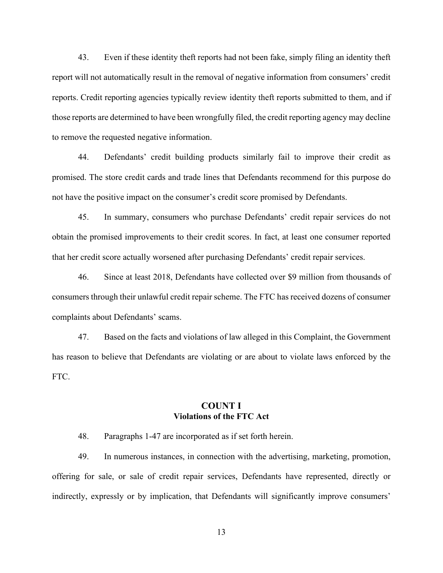43. Even if these identity theft reports had not been fake, simply filing an identity theft report will not automatically result in the removal of negative information from consumers' credit reports. Credit reporting agencies typically review identity theft reports submitted to them, and if those reports are determined to have been wrongfully filed, the credit reporting agency may decline to remove the requested negative information.

44. Defendants' credit building products similarly fail to improve their credit as promised. The store credit cards and trade lines that Defendants recommend for this purpose do not have the positive impact on the consumer's credit score promised by Defendants.

45. In summary, consumers who purchase Defendants' credit repair services do not obtain the promised improvements to their credit scores. In fact, at least one consumer reported that her credit score actually worsened after purchasing Defendants' credit repair services.

46. Since at least 2018, Defendants have collected over \$9 million from thousands of consumers through their unlawful credit repair scheme. The FTC has received dozens of consumer complaints about Defendants' scams.

47. Based on the facts and violations of law alleged in this Complaint, the Government has reason to believe that Defendants are violating or are about to violate laws enforced by the FTC.

# **COUNT I Violations of the FTC Act**

48. Paragraphs 1-47 are incorporated as if set forth herein.

49. In numerous instances, in connection with the advertising, marketing, promotion, offering for sale, or sale of credit repair services, Defendants have represented, directly or indirectly, expressly or by implication, that Defendants will significantly improve consumers'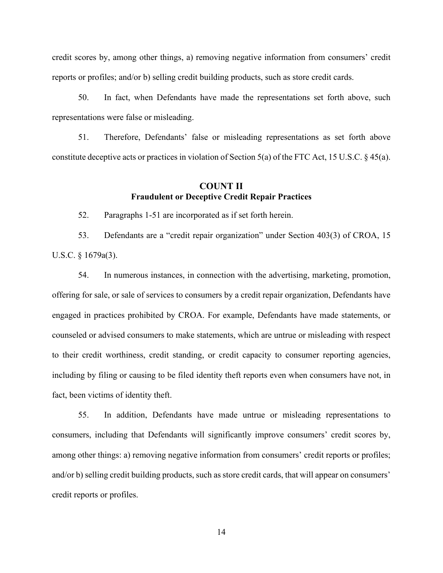credit scores by, among other things, a) removing negative information from consumers' credit reports or profiles; and/or b) selling credit building products, such as store credit cards.

50. In fact, when Defendants have made the representations set forth above, such representations were false or misleading.

51. Therefore, Defendants' false or misleading representations as set forth above constitute deceptive acts or practices in violation of Section 5(a) of the FTC Act, 15 U.S.C. § 45(a).

# **COUNT II Fraudulent or Deceptive Credit Repair Practices**

52. Paragraphs 1-51 are incorporated as if set forth herein.

53. Defendants are a "credit repair organization" under Section 403(3) of CROA, 15 U.S.C. § 1679a(3).

54. In numerous instances, in connection with the advertising, marketing, promotion, offering for sale, or sale of services to consumers by a credit repair organization, Defendants have engaged in practices prohibited by CROA. For example, Defendants have made statements, or counseled or advised consumers to make statements, which are untrue or misleading with respect to their credit worthiness, credit standing, or credit capacity to consumer reporting agencies, including by filing or causing to be filed identity theft reports even when consumers have not, in fact, been victims of identity theft.

55. In addition, Defendants have made untrue or misleading representations to consumers, including that Defendants will significantly improve consumers' credit scores by, among other things: a) removing negative information from consumers' credit reports or profiles; and/or b) selling credit building products, such as store credit cards, that will appear on consumers' credit reports or profiles.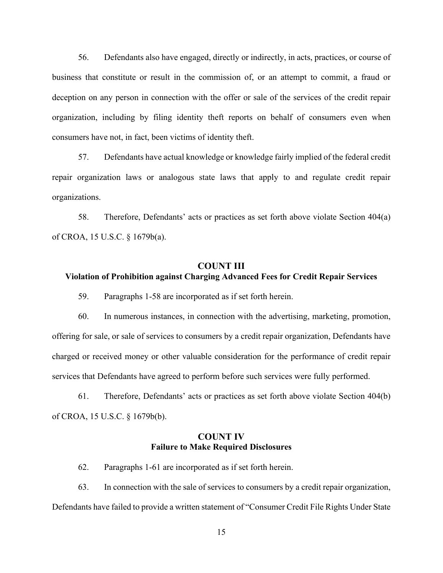56. Defendants also have engaged, directly or indirectly, in acts, practices, or course of business that constitute or result in the commission of, or an attempt to commit, a fraud or deception on any person in connection with the offer or sale of the services of the credit repair organization, including by filing identity theft reports on behalf of consumers even when consumers have not, in fact, been victims of identity theft.

57. Defendants have actual knowledge or knowledge fairly implied of the federal credit repair organization laws or analogous state laws that apply to and regulate credit repair organizations.

58. Therefore, Defendants' acts or practices as set forth above violate Section 404(a) of CROA, 15 U.S.C. § 1679b(a).

# **COUNT III Violation of Prohibition against Charging Advanced Fees for Credit Repair Services**

59. Paragraphs 1-58 are incorporated as if set forth herein.

60. In numerous instances, in connection with the advertising, marketing, promotion, offering for sale, or sale of services to consumers by a credit repair organization, Defendants have charged or received money or other valuable consideration for the performance of credit repair services that Defendants have agreed to perform before such services were fully performed.

61. Therefore, Defendants' acts or practices as set forth above violate Section 404(b) of CROA, 15 U.S.C. § 1679b(b).

## **COUNT IV Failure to Make Required Disclosures**

62. Paragraphs 1-61 are incorporated as if set forth herein.

63. In connection with the sale of services to consumers by a credit repair organization, Defendants have failed to provide a written statement of "Consumer Credit File Rights Under State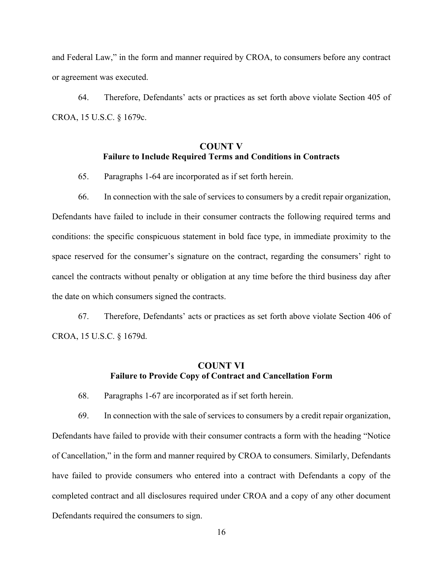and Federal Law," in the form and manner required by CROA, to consumers before any contract or agreement was executed.

64. Therefore, Defendants' acts or practices as set forth above violate Section 405 of CROA, 15 U.S.C. § 1679c.

# **COUNT V Failure to Include Required Terms and Conditions in Contracts**

65. Paragraphs 1-64 are incorporated as if set forth herein.

66. In connection with the sale of services to consumers by a credit repair organization, Defendants have failed to include in their consumer contracts the following required terms and conditions: the specific conspicuous statement in bold face type, in immediate proximity to the space reserved for the consumer's signature on the contract, regarding the consumers' right to cancel the contracts without penalty or obligation at any time before the third business day after the date on which consumers signed the contracts.

67. Therefore, Defendants' acts or practices as set forth above violate Section 406 of CROA, 15 U.S.C. § 1679d.

# **COUNT VI Failure to Provide Copy of Contract and Cancellation Form**

68. Paragraphs 1-67 are incorporated as if set forth herein.

69. In connection with the sale of services to consumers by a credit repair organization, Defendants have failed to provide with their consumer contracts a form with the heading "Notice of Cancellation," in the form and manner required by CROA to consumers. Similarly, Defendants have failed to provide consumers who entered into a contract with Defendants a copy of the completed contract and all disclosures required under CROA and a copy of any other document Defendants required the consumers to sign.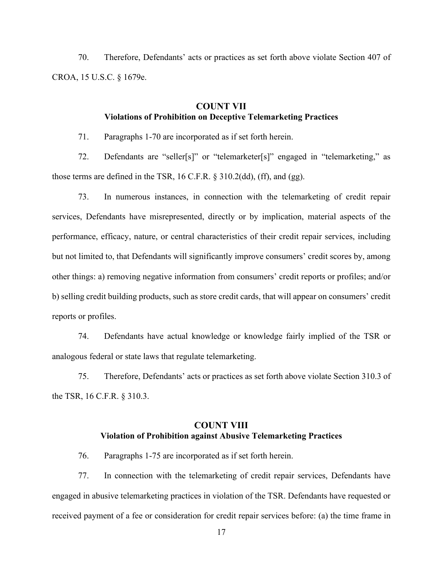70. Therefore, Defendants' acts or practices as set forth above violate Section 407 of CROA, 15 U.S.C. § 1679e.

# **COUNT VII Violations of Prohibition on Deceptive Telemarketing Practices**

71. Paragraphs 1-70 are incorporated as if set forth herein.

72. Defendants are "seller[s]" or "telemarketer[s]" engaged in "telemarketing," as those terms are defined in the TSR, 16 C.F.R. § 310.2(dd), (ff), and (gg).

73. In numerous instances, in connection with the telemarketing of credit repair services, Defendants have misrepresented, directly or by implication, material aspects of the performance, efficacy, nature, or central characteristics of their credit repair services, including but not limited to, that Defendants will significantly improve consumers' credit scores by, among other things: a) removing negative information from consumers' credit reports or profiles; and/or b) selling credit building products, such as store credit cards, that will appear on consumers' credit reports or profiles.

74. Defendants have actual knowledge or knowledge fairly implied of the TSR or analogous federal or state laws that regulate telemarketing.

75. Therefore, Defendants' acts or practices as set forth above violate Section 310.3 of the TSR, 16 C.F.R. § 310.3.

# **COUNT VIII Violation of Prohibition against Abusive Telemarketing Practices**

76. Paragraphs 1-75 are incorporated as if set forth herein.

77. In connection with the telemarketing of credit repair services, Defendants have engaged in abusive telemarketing practices in violation of the TSR. Defendants have requested or received payment of a fee or consideration for credit repair services before: (a) the time frame in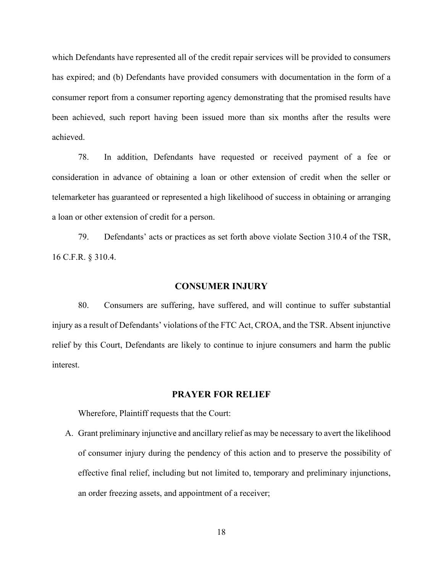which Defendants have represented all of the credit repair services will be provided to consumers has expired; and (b) Defendants have provided consumers with documentation in the form of a consumer report from a consumer reporting agency demonstrating that the promised results have been achieved, such report having been issued more than six months after the results were achieved.

78. In addition, Defendants have requested or received payment of a fee or consideration in advance of obtaining a loan or other extension of credit when the seller or telemarketer has guaranteed or represented a high likelihood of success in obtaining or arranging a loan or other extension of credit for a person.

79. Defendants' acts or practices as set forth above violate Section 310.4 of the TSR, 16 C.F.R. § 310.4.

### **CONSUMER INJURY**

80. Consumers are suffering, have suffered, and will continue to suffer substantial injury as a result of Defendants' violations of the FTC Act, CROA, and the TSR. Absent injunctive relief by this Court, Defendants are likely to continue to injure consumers and harm the public interest.

### **PRAYER FOR RELIEF**

Wherefore, Plaintiff requests that the Court:

A. Grant preliminary injunctive and ancillary relief as may be necessary to avert the likelihood of consumer injury during the pendency of this action and to preserve the possibility of effective final relief, including but not limited to, temporary and preliminary injunctions, an order freezing assets, and appointment of a receiver;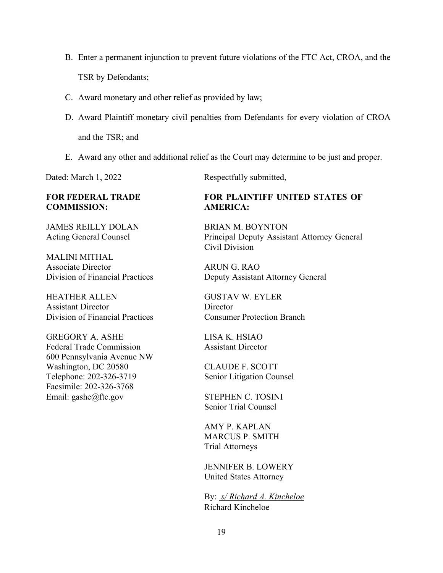- B. Enter a permanent injunction to prevent future violations of the FTC Act, CROA, and the TSR by Defendants;
- C. Award monetary and other relief as provided by law;
- D. Award Plaintiff monetary civil penalties from Defendants for every violation of CROA and the TSR; and
- E. Award any other and additional relief as the Court may determine to be just and proper.

## **FOR FEDERAL TRADE COMMISSION:**

JAMES REILLY DOLAN Acting General Counsel

MALINI MITHAL Associate Director Division of Financial Practices

HEATHER ALLEN Assistant Director Division of Financial Practices

GREGORY A. ASHE Federal Trade Commission 600 Pennsylvania Avenue NW Washington, DC 20580 Telephone: 202-326-3719 Facsimile: 202-326-3768 Email: gashe@ftc.gov

Dated: March 1, 2022 Respectfully submitted,

# **FOR PLAINTIFF UNITED STATES OF AMERICA:**

BRIAN M. BOYNTON Principal Deputy Assistant Attorney General Civil Division

ARUN G. RAO Deputy Assistant Attorney General

GUSTAV W. EYLER **Director** Consumer Protection Branch

LISA K. HSIAO Assistant Director

CLAUDE F. SCOTT Senior Litigation Counsel

STEPHEN C. TOSINI Senior Trial Counsel

AMY P. KAPLAN MARCUS P. SMITH Trial Attorneys

JENNIFER B. LOWERY United States Attorney

By: *s/ Richard A. Kincheloe*  Richard Kincheloe